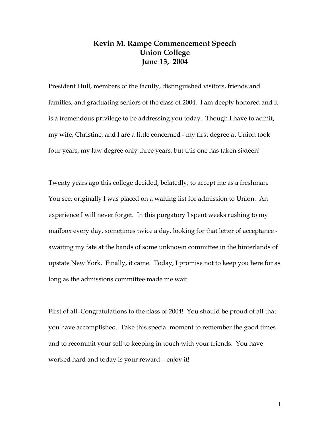## **Kevin M. Rampe Commencement Speech Union College June 13, 2004**

President Hull, members of the faculty, distinguished visitors, friends and families, and graduating seniors of the class of 2004. I am deeply honored and it is a tremendous privilege to be addressing you today. Though I have to admit, my wife, Christine, and I are a little concerned - my first degree at Union took four years, my law degree only three years, but this one has taken sixteen!

Twenty years ago this college decided, belatedly, to accept me as a freshman. You see, originally I was placed on a waiting list for admission to Union. An experience I will never forget. In this purgatory I spent weeks rushing to my mailbox every day, sometimes twice a day, looking for that letter of acceptance awaiting my fate at the hands of some unknown committee in the hinterlands of upstate New York. Finally, it came. Today, I promise not to keep you here for as long as the admissions committee made me wait.

First of all, Congratulations to the class of 2004! You should be proud of all that you have accomplished. Take this special moment to remember the good times and to recommit your self to keeping in touch with your friends. You have worked hard and today is your reward – enjoy it!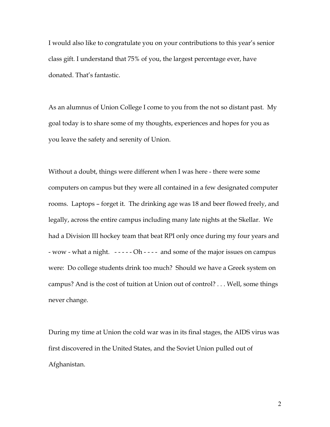I would also like to congratulate you on your contributions to this year's senior class gift. I understand that 75% of you, the largest percentage ever, have donated. That's fantastic.

As an alumnus of Union College I come to you from the not so distant past. My goal today is to share some of my thoughts, experiences and hopes for you as you leave the safety and serenity of Union.

Without a doubt, things were different when I was here - there were some computers on campus but they were all contained in a few designated computer rooms. Laptops – forget it. The drinking age was 18 and beer flowed freely, and legally, across the entire campus including many late nights at the Skellar. We had a Division III hockey team that beat RPI only once during my four years and - wow - what a night.  $-$  -  $-$  -  $-$  Oh -  $-$  -  $-$  and some of the major issues on campus were: Do college students drink too much? Should we have a Greek system on campus? And is the cost of tuition at Union out of control? . . . Well, some things never change.

During my time at Union the cold war was in its final stages, the AIDS virus was first discovered in the United States, and the Soviet Union pulled out of Afghanistan.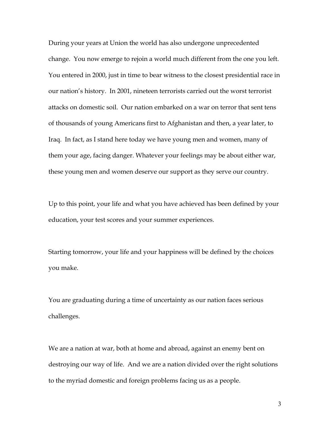During your years at Union the world has also undergone unprecedented change. You now emerge to rejoin a world much different from the one you left. You entered in 2000, just in time to bear witness to the closest presidential race in our nation's history. In 2001, nineteen terrorists carried out the worst terrorist attacks on domestic soil. Our nation embarked on a war on terror that sent tens of thousands of young Americans first to Afghanistan and then, a year later, to Iraq. In fact, as I stand here today we have young men and women, many of them your age, facing danger. Whatever your feelings may be about either war, these young men and women deserve our support as they serve our country.

Up to this point, your life and what you have achieved has been defined by your education, your test scores and your summer experiences.

Starting tomorrow, your life and your happiness will be defined by the choices you make.

You are graduating during a time of uncertainty as our nation faces serious challenges.

We are a nation at war, both at home and abroad, against an enemy bent on destroying our way of life. And we are a nation divided over the right solutions to the myriad domestic and foreign problems facing us as a people.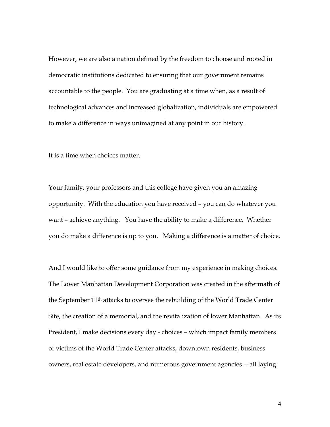However, we are also a nation defined by the freedom to choose and rooted in democratic institutions dedicated to ensuring that our government remains accountable to the people. You are graduating at a time when, as a result of technological advances and increased globalization, individuals are empowered to make a difference in ways unimagined at any point in our history.

It is a time when choices matter.

Your family, your professors and this college have given you an amazing opportunity. With the education you have received – you can do whatever you want – achieve anything. You have the ability to make a difference. Whether you do make a difference is up to you. Making a difference is a matter of choice.

And I would like to offer some guidance from my experience in making choices. The Lower Manhattan Development Corporation was created in the aftermath of the September 11th attacks to oversee the rebuilding of the World Trade Center Site, the creation of a memorial, and the revitalization of lower Manhattan. As its President, I make decisions every day - choices – which impact family members of victims of the World Trade Center attacks, downtown residents, business owners, real estate developers, and numerous government agencies -- all laying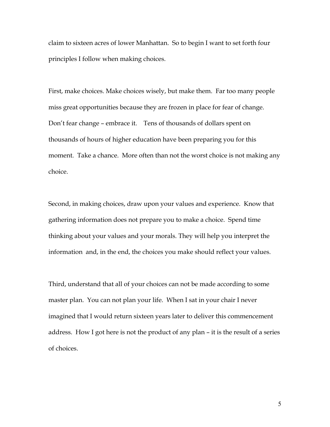claim to sixteen acres of lower Manhattan. So to begin I want to set forth four principles I follow when making choices.

First, make choices. Make choices wisely, but make them. Far too many people miss great opportunities because they are frozen in place for fear of change. Don't fear change – embrace it. Tens of thousands of dollars spent on thousands of hours of higher education have been preparing you for this moment. Take a chance. More often than not the worst choice is not making any choice.

Second, in making choices, draw upon your values and experience. Know that gathering information does not prepare you to make a choice. Spend time thinking about your values and your morals. They will help you interpret the information and, in the end, the choices you make should reflect your values.

Third, understand that all of your choices can not be made according to some master plan. You can not plan your life. When I sat in your chair I never imagined that I would return sixteen years later to deliver this commencement address. How I got here is not the product of any plan – it is the result of a series of choices.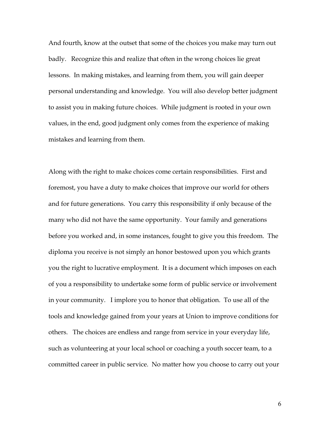And fourth, know at the outset that some of the choices you make may turn out badly. Recognize this and realize that often in the wrong choices lie great lessons. In making mistakes, and learning from them, you will gain deeper personal understanding and knowledge. You will also develop better judgment to assist you in making future choices. While judgment is rooted in your own values, in the end, good judgment only comes from the experience of making mistakes and learning from them.

Along with the right to make choices come certain responsibilities. First and foremost, you have a duty to make choices that improve our world for others and for future generations. You carry this responsibility if only because of the many who did not have the same opportunity. Your family and generations before you worked and, in some instances, fought to give you this freedom. The diploma you receive is not simply an honor bestowed upon you which grants you the right to lucrative employment. It is a document which imposes on each of you a responsibility to undertake some form of public service or involvement in your community. I implore you to honor that obligation. To use all of the tools and knowledge gained from your years at Union to improve conditions for others. The choices are endless and range from service in your everyday life, such as volunteering at your local school or coaching a youth soccer team, to a committed career in public service. No matter how you choose to carry out your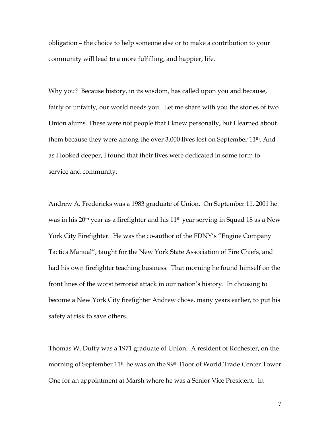obligation – the choice to help someone else or to make a contribution to your community will lead to a more fulfilling, and happier, life.

Why you? Because history, in its wisdom, has called upon you and because, fairly or unfairly, our world needs you. Let me share with you the stories of two Union alums. These were not people that I knew personally, but I learned about them because they were among the over 3,000 lives lost on September 11th. And as I looked deeper, I found that their lives were dedicated in some form to service and community.

Andrew A. Fredericks was a 1983 graduate of Union. On September 11, 2001 he was in his 20<sup>th</sup> year as a firefighter and his 11<sup>th</sup> year serving in Squad 18 as a New York City Firefighter. He was the co-author of the FDNY's "Engine Company Tactics Manual", taught for the New York State Association of Fire Chiefs, and had his own firefighter teaching business. That morning he found himself on the front lines of the worst terrorist attack in our nation's history. In choosing to become a New York City firefighter Andrew chose, many years earlier, to put his safety at risk to save others.

Thomas W. Duffy was a 1971 graduate of Union. A resident of Rochester, on the morning of September 11th he was on the 99th Floor of World Trade Center Tower One for an appointment at Marsh where he was a Senior Vice President. In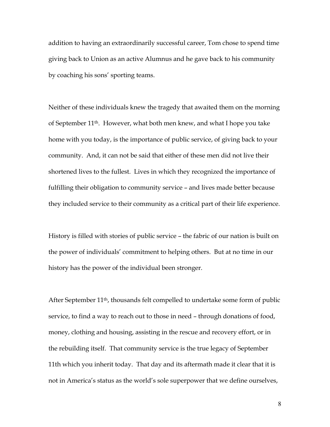addition to having an extraordinarily successful career, Tom chose to spend time giving back to Union as an active Alumnus and he gave back to his community by coaching his sons' sporting teams.

Neither of these individuals knew the tragedy that awaited them on the morning of September 11th. However, what both men knew, and what I hope you take home with you today, is the importance of public service, of giving back to your community. And, it can not be said that either of these men did not live their shortened lives to the fullest. Lives in which they recognized the importance of fulfilling their obligation to community service – and lives made better because they included service to their community as a critical part of their life experience.

History is filled with stories of public service – the fabric of our nation is built on the power of individuals' commitment to helping others. But at no time in our history has the power of the individual been stronger.

After September 11th, thousands felt compelled to undertake some form of public service, to find a way to reach out to those in need – through donations of food, money, clothing and housing, assisting in the rescue and recovery effort, or in the rebuilding itself. That community service is the true legacy of September 11th which you inherit today. That day and its aftermath made it clear that it is not in America's status as the world's sole superpower that we define ourselves,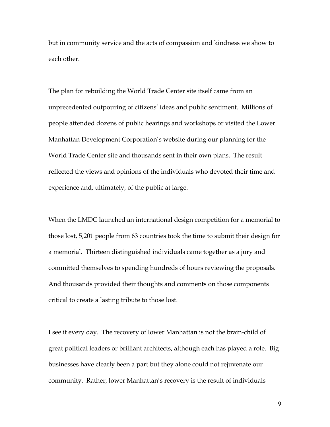but in community service and the acts of compassion and kindness we show to each other.

The plan for rebuilding the World Trade Center site itself came from an unprecedented outpouring of citizens' ideas and public sentiment. Millions of people attended dozens of public hearings and workshops or visited the Lower Manhattan Development Corporation's website during our planning for the World Trade Center site and thousands sent in their own plans. The result reflected the views and opinions of the individuals who devoted their time and experience and, ultimately, of the public at large.

When the LMDC launched an international design competition for a memorial to those lost, 5,201 people from 63 countries took the time to submit their design for a memorial. Thirteen distinguished individuals came together as a jury and committed themselves to spending hundreds of hours reviewing the proposals. And thousands provided their thoughts and comments on those components critical to create a lasting tribute to those lost.

I see it every day. The recovery of lower Manhattan is not the brain-child of great political leaders or brilliant architects, although each has played a role. Big businesses have clearly been a part but they alone could not rejuvenate our community. Rather, lower Manhattan's recovery is the result of individuals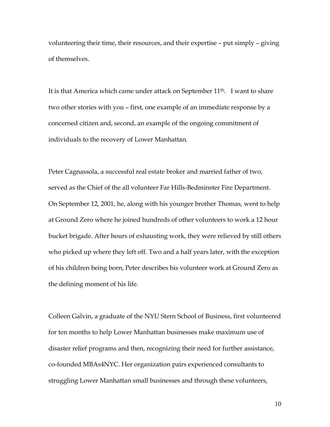volunteering their time, their resources, and their expertise – put simply – giving of themselves.

It is that America which came under attack on September 11<sup>th</sup>. I want to share two other stories with you – first, one example of an immediate response by a concerned citizen and, second, an example of the ongoing commitment of individuals to the recovery of Lower Manhattan.

Peter Cagnassola, a successful real estate broker and married father of two, served as the Chief of the all volunteer Far Hills-Bedminster Fire Department. On September 12, 2001, he, along with his younger brother Thomas, went to help at Ground Zero where he joined hundreds of other volunteers to work a 12 hour bucket brigade. After hours of exhausting work, they were relieved by still others who picked up where they left off. Two and a half years later, with the exception of his children being born, Peter describes his volunteer work at Ground Zero as the defining moment of his life.

Colleen Galvin, a graduate of the NYU Stern School of Business, first volunteered for ten months to help Lower Manhattan businesses make maximum use of disaster relief programs and then, recognizing their need for further assistance, co-founded MBAs4NYC. Her organization pairs experienced consultants to struggling Lower Manhattan small businesses and through these volunteers,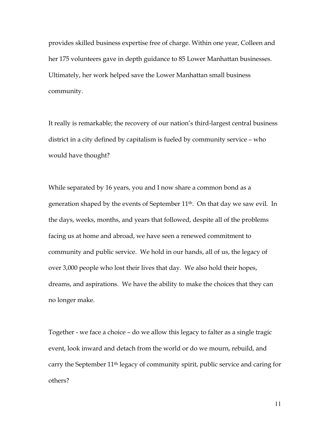provides skilled business expertise free of charge. Within one year, Colleen and her 175 volunteers gave in depth guidance to 85 Lower Manhattan businesses. Ultimately, her work helped save the Lower Manhattan small business community.

It really is remarkable; the recovery of our nation's third-largest central business district in a city defined by capitalism is fueled by community service – who would have thought?

While separated by 16 years, you and I now share a common bond as a generation shaped by the events of September 11<sup>th</sup>. On that day we saw evil. In the days, weeks, months, and years that followed, despite all of the problems facing us at home and abroad, we have seen a renewed commitment to community and public service. We hold in our hands, all of us, the legacy of over 3,000 people who lost their lives that day. We also hold their hopes, dreams, and aspirations. We have the ability to make the choices that they can no longer make.

Together - we face a choice – do we allow this legacy to falter as a single tragic event, look inward and detach from the world or do we mourn, rebuild, and carry the September 11th legacy of community spirit, public service and caring for others?